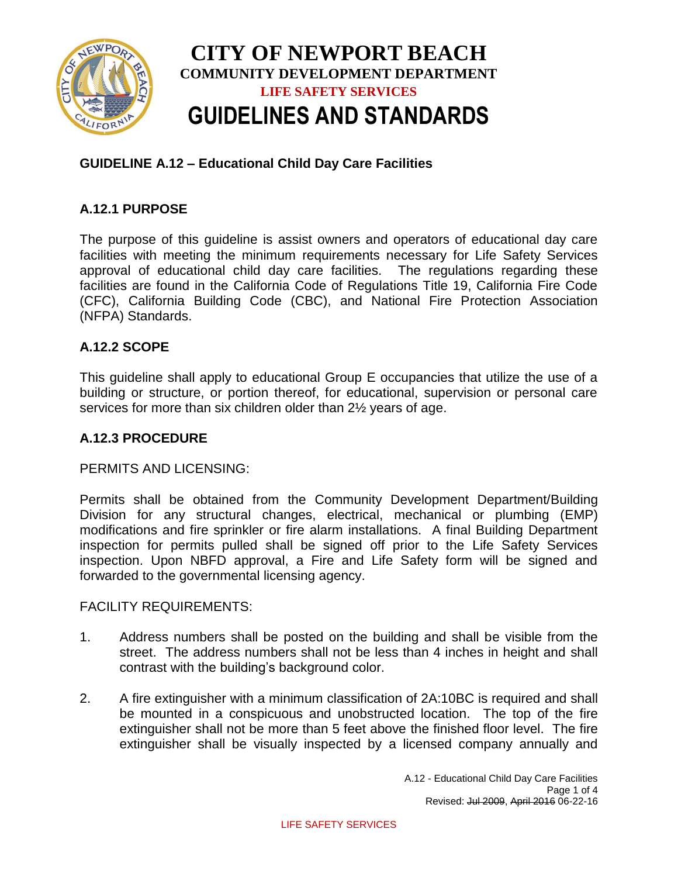

# **GUIDELINE A.12 – Educational Child Day Care Facilities**

## **A.12.1 PURPOSE**

The purpose of this guideline is assist owners and operators of educational day care facilities with meeting the minimum requirements necessary for Life Safety Services approval of educational child day care facilities. The regulations regarding these facilities are found in the California Code of Regulations Title 19, California Fire Code (CFC), California Building Code (CBC), and National Fire Protection Association (NFPA) Standards.

### **A.12.2 SCOPE**

This guideline shall apply to educational Group E occupancies that utilize the use of a building or structure, or portion thereof, for educational, supervision or personal care services for more than six children older than 2½ years of age.

### **A.12.3 PROCEDURE**

### PERMITS AND LICENSING:

Permits shall be obtained from the Community Development Department/Building Division for any structural changes, electrical, mechanical or plumbing (EMP) modifications and fire sprinkler or fire alarm installations. A final Building Department inspection for permits pulled shall be signed off prior to the Life Safety Services inspection. Upon NBFD approval, a Fire and Life Safety form will be signed and forwarded to the governmental licensing agency.

#### FACILITY REQUIREMENTS:

- 1. Address numbers shall be posted on the building and shall be visible from the street. The address numbers shall not be less than 4 inches in height and shall contrast with the building's background color.
- 2. A fire extinguisher with a minimum classification of 2A:10BC is required and shall be mounted in a conspicuous and unobstructed location. The top of the fire extinguisher shall not be more than 5 feet above the finished floor level. The fire extinguisher shall be visually inspected by a licensed company annually and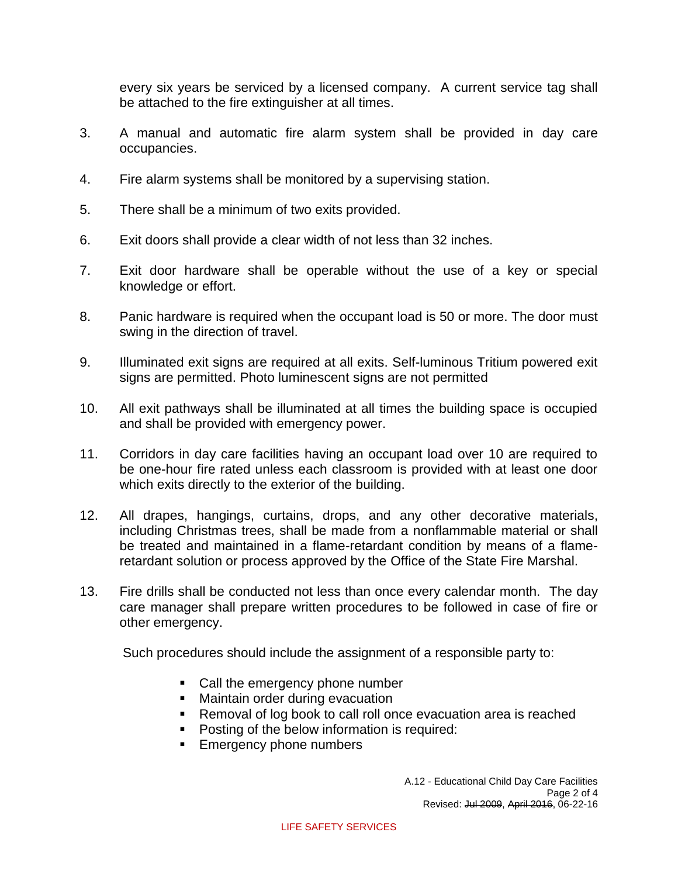every six years be serviced by a licensed company. A current service tag shall be attached to the fire extinguisher at all times.

- 3. A manual and automatic fire alarm system shall be provided in day care occupancies.
- 4. Fire alarm systems shall be monitored by a supervising station.
- 5. There shall be a minimum of two exits provided.
- 6. Exit doors shall provide a clear width of not less than 32 inches.
- 7. Exit door hardware shall be operable without the use of a key or special knowledge or effort.
- 8. Panic hardware is required when the occupant load is 50 or more. The door must swing in the direction of travel.
- 9. Illuminated exit signs are required at all exits. Self-luminous Tritium powered exit signs are permitted. Photo luminescent signs are not permitted
- 10. All exit pathways shall be illuminated at all times the building space is occupied and shall be provided with emergency power.
- 11. Corridors in day care facilities having an occupant load over 10 are required to be one-hour fire rated unless each classroom is provided with at least one door which exits directly to the exterior of the building.
- 12. All drapes, hangings, curtains, drops, and any other decorative materials, including Christmas trees, shall be made from a nonflammable material or shall be treated and maintained in a flame-retardant condition by means of a flameretardant solution or process approved by the Office of the State Fire Marshal.
- 13. Fire drills shall be conducted not less than once every calendar month. The day care manager shall prepare written procedures to be followed in case of fire or other emergency.

Such procedures should include the assignment of a responsible party to:

- Call the emergency phone number
- **Maintain order during evacuation**
- Removal of log book to call roll once evacuation area is reached
- **Posting of the below information is required:**
- **Emergency phone numbers**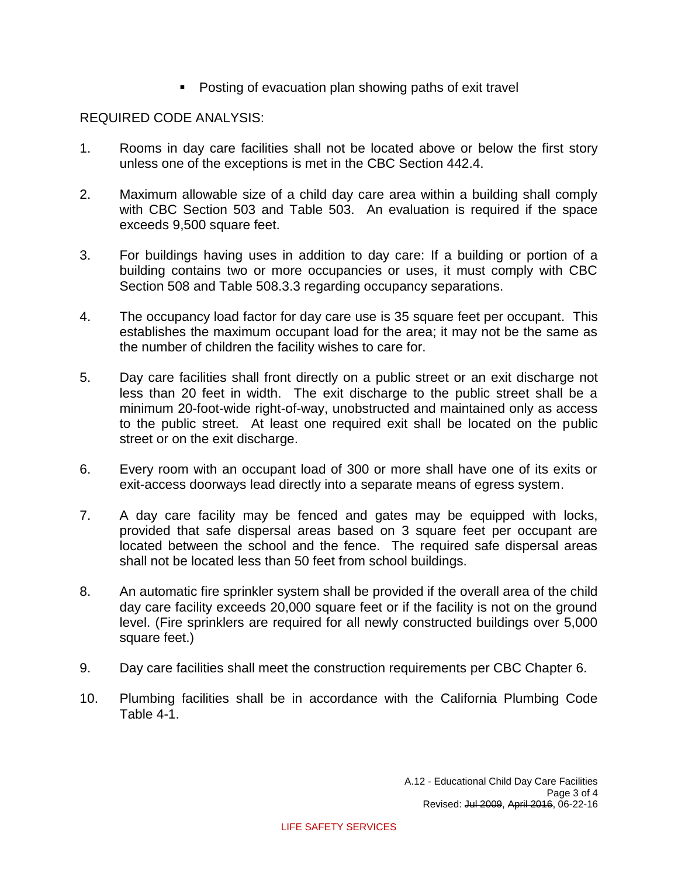• Posting of evacuation plan showing paths of exit travel

# REQUIRED CODE ANALYSIS:

- 1. Rooms in day care facilities shall not be located above or below the first story unless one of the exceptions is met in the CBC Section 442.4.
- 2. Maximum allowable size of a child day care area within a building shall comply with CBC Section 503 and Table 503. An evaluation is required if the space exceeds 9,500 square feet.
- 3. For buildings having uses in addition to day care: If a building or portion of a building contains two or more occupancies or uses, it must comply with CBC Section 508 and Table 508.3.3 regarding occupancy separations.
- 4. The occupancy load factor for day care use is 35 square feet per occupant. This establishes the maximum occupant load for the area; it may not be the same as the number of children the facility wishes to care for.
- 5. Day care facilities shall front directly on a public street or an exit discharge not less than 20 feet in width. The exit discharge to the public street shall be a minimum 20-foot-wide right-of-way, unobstructed and maintained only as access to the public street. At least one required exit shall be located on the public street or on the exit discharge.
- 6. Every room with an occupant load of 300 or more shall have one of its exits or exit-access doorways lead directly into a separate means of egress system.
- 7. A day care facility may be fenced and gates may be equipped with locks, provided that safe dispersal areas based on 3 square feet per occupant are located between the school and the fence. The required safe dispersal areas shall not be located less than 50 feet from school buildings.
- 8. An automatic fire sprinkler system shall be provided if the overall area of the child day care facility exceeds 20,000 square feet or if the facility is not on the ground level. (Fire sprinklers are required for all newly constructed buildings over 5,000 square feet.)
- 9. Day care facilities shall meet the construction requirements per CBC Chapter 6.
- 10. Plumbing facilities shall be in accordance with the California Plumbing Code Table 4-1.